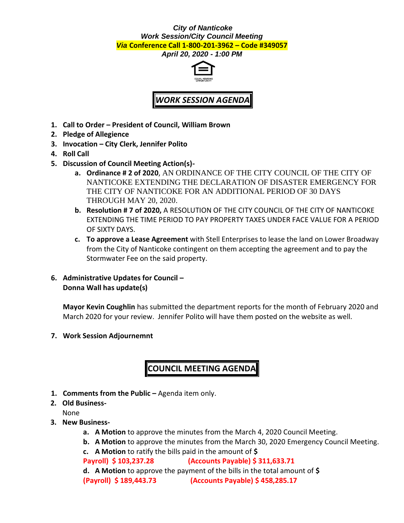## *City of Nanticoke Work Session/City Council Meeting Via* **Conference Call 1-800-201-3962 – Code #349057**

*April 20, 2020 - 1:00 PM*



## *WORK SESSION AGENDA*

- **1. Call to Order – President of Council, William Brown**
- **2. Pledge of Allegience**
- **3. Invocation – City Clerk, Jennifer Polito**
- **4. Roll Call**
- **5. Discussion of Council Meeting Action(s)**
	- **a. Ordinance # 2 of 2020**, AN ORDINANCE OF THE CITY COUNCIL OF THE CITY OF NANTICOKE EXTENDING THE DECLARATION OF DISASTER EMERGENCY FOR THE CITY OF NANTICOKE FOR AN ADDITIONAL PERIOD OF 30 DAYS THROUGH MAY 20, 2020.
	- **b. Resolution # 7 of 2020,** A RESOLUTION OF THE CITY COUNCIL OF THE CITY OF NANTICOKE EXTENDING THE TIME PERIOD TO PAY PROPERTY TAXES UNDER FACE VALUE FOR A PERIOD OF SIXTY DAYS.
	- **c. To approve a Lease Agreement** with Stell Enterprises to lease the land on Lower Broadway from the City of Nanticoke contingent on them accepting the agreement and to pay the Stormwater Fee on the said property.
- **6. Administrative Updates for Council – Donna Wall has update(s)**

**Mayor Kevin Coughlin** has submitted the department reports for the month of February 2020 and March 2020 for your review. Jennifer Polito will have them posted on the website as well.

**7. Work Session Adjournemnt**

## **COUNCIL MEETING AGENDA**

- **1. Comments from the Public –** Agenda item only.
- **2. Old Business-**
	- None
- **3. New Business**
	- **a. A Motion** to approve the minutes from the March 4, 2020 Council Meeting.
	- **b. A Motion** to approve the minutes from the March 30, 2020 Emergency Council Meeting.
	- **c. A Motion** to ratify the bills paid in the amount of **\$**

**Payroll) \$ 103,237.28 (Accounts Payable) \$ 311,633.71**

**d. A Motion** to approve the payment of the bills in the total amount of **\$**

**(Payroll) \$ 189,443.73 (Accounts Payable) \$ 458,285.17**